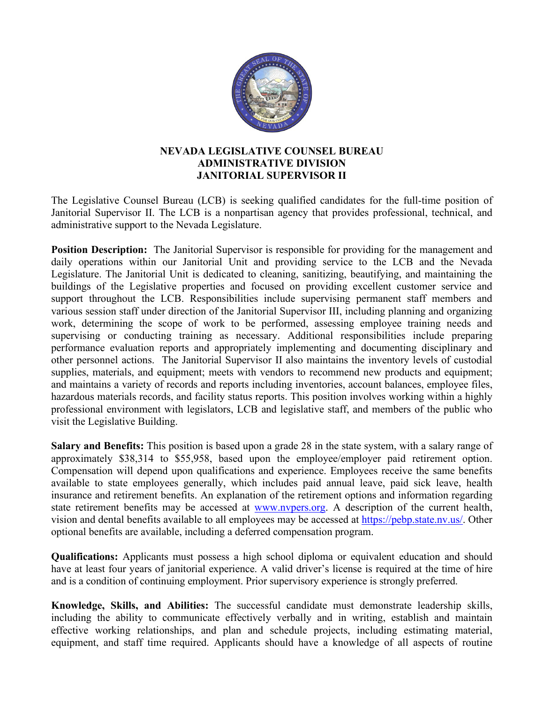

## **NEVADA LEGISLATIVE COUNSEL BUREAU ADMINISTRATIVE DIVISION JANITORIAL SUPERVISOR II**

The Legislative Counsel Bureau (LCB) is seeking qualified candidates for the full-time position of Janitorial Supervisor II. The LCB is a nonpartisan agency that provides professional, technical, and administrative support to the Nevada Legislature.

**Position Description:** The Janitorial Supervisor is responsible for providing for the management and daily operations within our Janitorial Unit and providing service to the LCB and the Nevada Legislature. The Janitorial Unit is dedicated to cleaning, sanitizing, beautifying, and maintaining the buildings of the Legislative properties and focused on providing excellent customer service and support throughout the LCB. Responsibilities include supervising permanent staff members and various session staff under direction of the Janitorial Supervisor III, including planning and organizing work, determining the scope of work to be performed, assessing employee training needs and supervising or conducting training as necessary. Additional responsibilities include preparing performance evaluation reports and appropriately implementing and documenting disciplinary and other personnel actions. The Janitorial Supervisor II also maintains the inventory levels of custodial supplies, materials, and equipment; meets with vendors to recommend new products and equipment; and maintains a variety of records and reports including inventories, account balances, employee files, hazardous materials records, and facility status reports. This position involves working within a highly professional environment with legislators, LCB and legislative staff, and members of the public who visit the Legislative Building.

**Salary and Benefits:** This position is based upon a grade 28 in the state system, with a salary range of approximately \$38,314 to \$55,958, based upon the employee/employer paid retirement option. Compensation will depend upon qualifications and experience. Employees receive the same benefits available to state employees generally, which includes paid annual leave, paid sick leave, health insurance and retirement benefits. An explanation of the retirement options and information regarding state retirement benefits may be accessed at [www.nvpers.org.](http://www.nvpers.org/) A description of the current health, vision and dental benefits available to all employees may be accessed at [https://pebp.state.nv.us/.](https://pebp.state.nv.us/) Other optional benefits are available, including a deferred compensation program.

**Qualifications:** Applicants must possess a high school diploma or equivalent education and should have at least four years of janitorial experience. A valid driver's license is required at the time of hire and is a condition of continuing employment. Prior supervisory experience is strongly preferred.

**Knowledge, Skills, and Abilities:** The successful candidate must demonstrate leadership skills, including the ability to communicate effectively verbally and in writing, establish and maintain effective working relationships, and plan and schedule projects, including estimating material, equipment, and staff time required. Applicants should have a knowledge of all aspects of routine